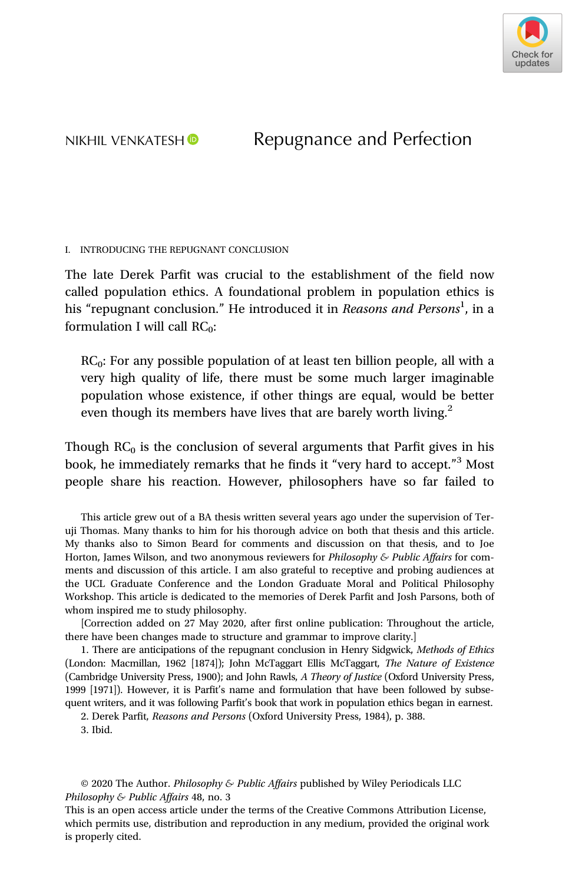

# NIKHIL VENKATESH<sup>O</sup> Repugnance and Perfection

#### I. INTRODUCING THE REPUGNANT CONCLUSION

The late Derek Parfit was crucial to the establishment of the field now called population ethics. A foundational problem in population ethics is his "repugnant conclusion." He introduced it in *Reasons and Persons*<sup>1</sup>, in a formulation I will call  $RC_0$ :

 $RC<sub>0</sub>$ : For any possible population of at least ten billion people, all with a very high quality of life, there must be some much larger imaginable population whose existence, if other things are equal, would be better even though its members have lives that are barely worth living.<sup>2</sup>

Though  $RC_0$  is the conclusion of several arguments that Parfit gives in his book, he immediately remarks that he finds it "very hard to accept."<sup>3</sup> Most people share his reaction. However, philosophers have so far failed to

This article grew out of a BA thesis written several years ago under the supervision of Teruji Thomas. Many thanks to him for his thorough advice on both that thesis and this article. My thanks also to Simon Beard for comments and discussion on that thesis, and to Joe Horton, James Wilson, and two anonymous reviewers for *Philosophy*  $\&$  *Public Affairs* for comments and discussion of this article. I am also grateful to receptive and probing audiences at the UCL Graduate Conference and the London Graduate Moral and Political Philosophy Workshop. This article is dedicated to the memories of Derek Parfit and Josh Parsons, both of whom inspired me to study philosophy.

[Correction added on 27 May 2020, after first online publication: Throughout the article, there have been changes made to structure and grammar to improve clarity.]

1. There are anticipations of the repugnant conclusion in Henry Sidgwick, Methods of Ethics (London: Macmillan, 1962 [1874]); John McTaggart Ellis McTaggart, The Nature of Existence (Cambridge University Press, 1900); and John Rawls, A Theory of Justice (Oxford University Press, 1999 [1971]). However, it is Parfit's name and formulation that have been followed by subsequent writers, and it was following Parfit's book that work in population ethics began in earnest.

2. Derek Parfit, Reasons and Persons (Oxford University Press, 1984), p. 388.

3. Ibid.

© 2020 The Author. Philosophy & Public Affairs published by Wiley Periodicals LLC Philosophy & Public Affairs 48, no. 3

This is an open access article under the terms of the [Creative Commons Attribution](http://creativecommons.org/licenses/by/4.0/) License, which permits use, distribution and reproduction in any medium, provided the original work is properly cited.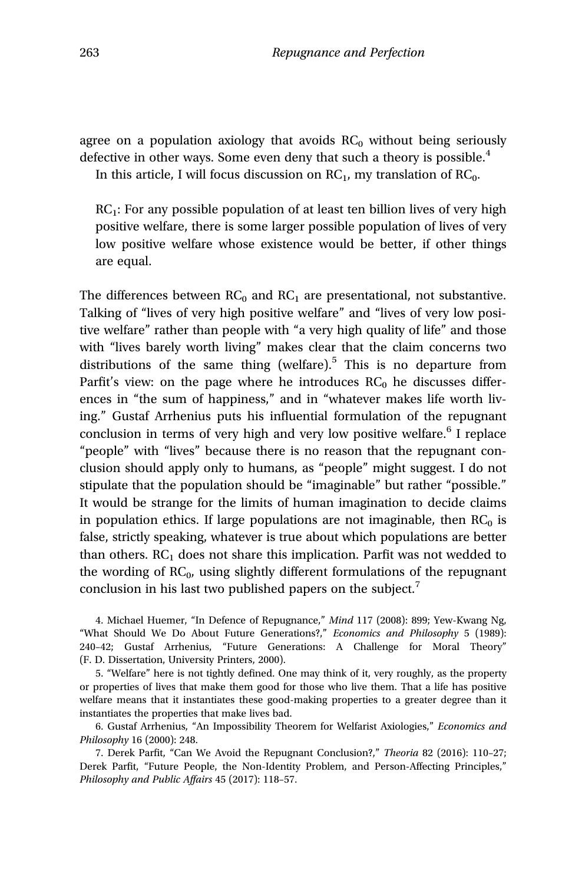agree on a population axiology that avoids  $RC<sub>0</sub>$  without being seriously defective in other ways. Some even deny that such a theory is possible.<sup>4</sup>

In this article, I will focus discussion on  $RC_1$ , my translation of  $RC_0$ .

 $RC<sub>1</sub>$ : For any possible population of at least ten billion lives of very high positive welfare, there is some larger possible population of lives of very low positive welfare whose existence would be better, if other things are equal.

The differences between  $RC_0$  and  $RC_1$  are presentational, not substantive. Talking of "lives of very high positive welfare" and "lives of very low positive welfare" rather than people with "a very high quality of life" and those with "lives barely worth living" makes clear that the claim concerns two distributions of the same thing (welfare).<sup>5</sup> This is no departure from Parfit's view: on the page where he introduces  $RC_0$  he discusses differences in "the sum of happiness," and in "whatever makes life worth living." Gustaf Arrhenius puts his influential formulation of the repugnant conclusion in terms of very high and very low positive welfare.<sup>6</sup> I replace "people" with "lives" because there is no reason that the repugnant conclusion should apply only to humans, as "people" might suggest. I do not stipulate that the population should be "imaginable" but rather "possible." It would be strange for the limits of human imagination to decide claims in population ethics. If large populations are not imaginable, then  $RC_0$  is false, strictly speaking, whatever is true about which populations are better than others.  $RC<sub>1</sub>$  does not share this implication. Parfit was not wedded to the wording of  $RC<sub>0</sub>$ , using slightly different formulations of the repugnant conclusion in his last two published papers on the subject.<sup>7</sup>

4. Michael Huemer, "In Defence of Repugnance," Mind 117 (2008): 899; Yew-Kwang Ng, "What Should We Do About Future Generations?," Economics and Philosophy 5 (1989): 240–42; Gustaf Arrhenius, "Future Generations: A Challenge for Moral Theory" (F. D. Dissertation, University Printers, 2000).

5. "Welfare" here is not tightly defined. One may think of it, very roughly, as the property or properties of lives that make them good for those who live them. That a life has positive welfare means that it instantiates these good-making properties to a greater degree than it instantiates the properties that make lives bad.

6. Gustaf Arrhenius, "An Impossibility Theorem for Welfarist Axiologies," Economics and Philosophy 16 (2000): 248.

7. Derek Parfit, "Can We Avoid the Repugnant Conclusion?," Theoria 82 (2016): 110–27; Derek Parfit, "Future People, the Non-Identity Problem, and Person-Affecting Principles," Philosophy and Public Affairs 45 (2017): 118–57.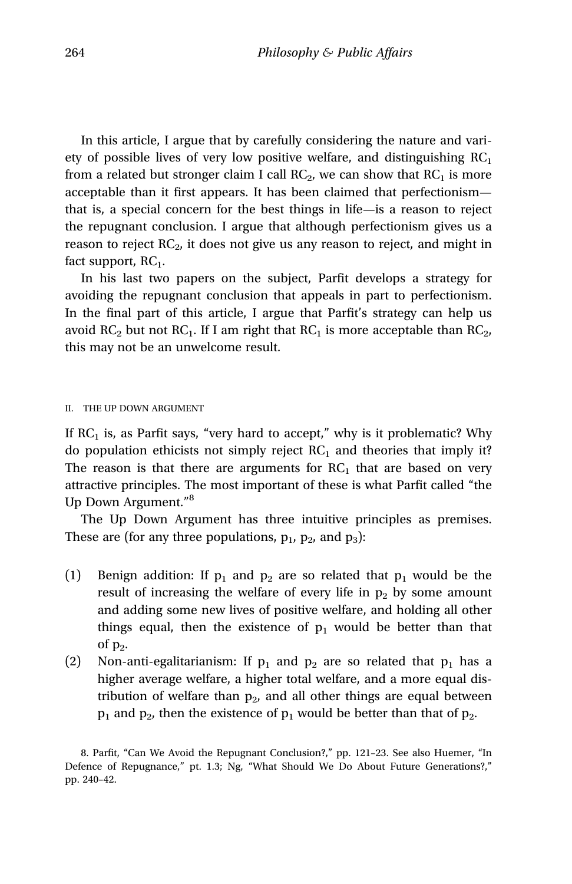In this article, I argue that by carefully considering the nature and variety of possible lives of very low positive welfare, and distinguishing  $RC<sub>1</sub>$ from a related but stronger claim I call  $RC<sub>2</sub>$ , we can show that  $RC<sub>1</sub>$  is more acceptable than it first appears. It has been claimed that perfectionism that is, a special concern for the best things in life—is a reason to reject the repugnant conclusion. I argue that although perfectionism gives us a reason to reject  $RC<sub>2</sub>$ , it does not give us any reason to reject, and might in fact support,  $RC<sub>1</sub>$ .

In his last two papers on the subject, Parfit develops a strategy for avoiding the repugnant conclusion that appeals in part to perfectionism. In the final part of this article, I argue that Parfit's strategy can help us avoid  $RC<sub>2</sub>$  but not  $RC<sub>1</sub>$ . If I am right that  $RC<sub>1</sub>$  is more acceptable than  $RC<sub>2</sub>$ , this may not be an unwelcome result.

#### II. THE UP DOWN ARGUMENT

If  $RC<sub>1</sub>$  is, as Parfit says, "very hard to accept," why is it problematic? Why do population ethicists not simply reject  $RC<sub>1</sub>$  and theories that imply it? The reason is that there are arguments for  $RC<sub>1</sub>$  that are based on very attractive principles. The most important of these is what Parfit called "the Up Down Argument." 8

The Up Down Argument has three intuitive principles as premises. These are (for any three populations,  $p_1$ ,  $p_2$ , and  $p_3$ ):

- (1) Benign addition: If  $p_1$  and  $p_2$  are so related that  $p_1$  would be the result of increasing the welfare of every life in  $p_2$  by some amount and adding some new lives of positive welfare, and holding all other things equal, then the existence of  $p_1$  would be better than that of  $p_2$ .
- (2) Non-anti-egalitarianism: If  $p_1$  and  $p_2$  are so related that  $p_1$  has a higher average welfare, a higher total welfare, and a more equal distribution of welfare than  $p_2$ , and all other things are equal between  $p_1$  and  $p_2$ , then the existence of  $p_1$  would be better than that of  $p_2$ .

<sup>8.</sup> Parfit, "Can We Avoid the Repugnant Conclusion?," pp. 121–23. See also Huemer, "In Defence of Repugnance," pt. 1.3; Ng, "What Should We Do About Future Generations?," pp. 240–42.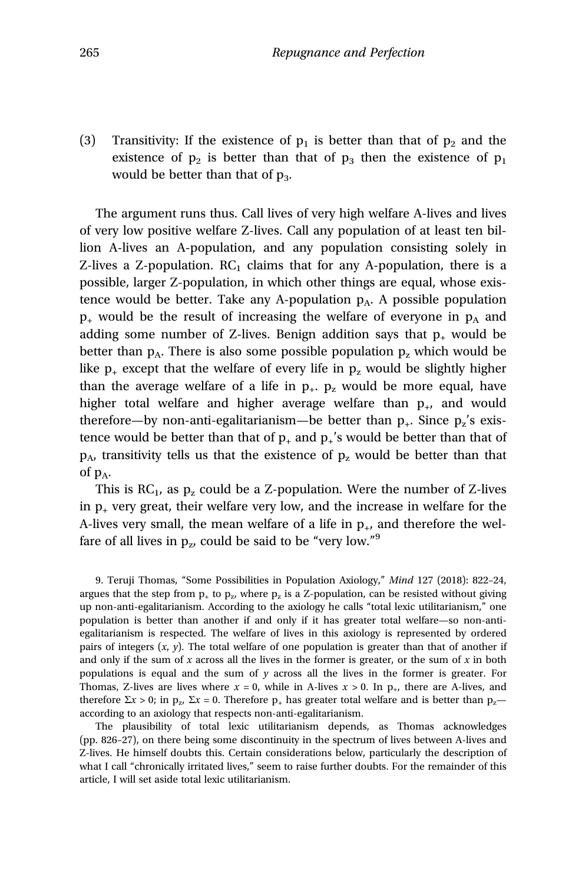(3) Transitivity: If the existence of  $p_1$  is better than that of  $p_2$  and the existence of  $p_2$  is better than that of  $p_3$  then the existence of  $p_1$ would be better than that of  $p_3$ .

The argument runs thus. Call lives of very high welfare A-lives and lives of very low positive welfare Z-lives. Call any population of at least ten billion A-lives an A-population, and any population consisting solely in Z-lives a Z-population.  $RC<sub>1</sub>$  claims that for any A-population, there is a possible, larger Z-population, in which other things are equal, whose existence would be better. Take any A-population  $p_A$ . A possible population  $p_{+}$  would be the result of increasing the welfare of everyone in  $p_{A}$  and adding some number of Z-lives. Benign addition says that  $p_{+}$  would be better than  $p_A$ . There is also some possible population  $p_z$  which would be like  $p_{+}$  except that the welfare of every life in  $p_{z}$  would be slightly higher than the average welfare of a life in  $p_{+}$ ,  $p_{z}$  would be more equal, have higher total welfare and higher average welfare than  $p_{+}$ , and would therefore—by non-anti-egalitarianism—be better than  $p_{+}$ . Since  $p_{z}$ 's existence would be better than that of  $p_{+}$  and  $p_{+}'$ 's would be better than that of  $p_A$ , transitivity tells us that the existence of  $p_z$  would be better than that of  $p_A$ .

This is  $RC_1$ , as  $p_z$  could be a Z-population. Were the number of Z-lives in  $p_{+}$  very great, their welfare very low, and the increase in welfare for the A-lives very small, the mean welfare of a life in  $p_{+}$ , and therefore the welfare of all lives in  $p_z$ , could be said to be "very low." $^9$ 

9. Teruji Thomas, "Some Possibilities in Population Axiology," Mind 127 (2018): 822–24, argues that the step from  $p_+$  to  $p_z$ , where  $p_z$  is a Z-population, can be resisted without giving up non-anti-egalitarianism. According to the axiology he calls "total lexic utilitarianism," one population is better than another if and only if it has greater total welfare—so non-antiegalitarianism is respected. The welfare of lives in this axiology is represented by ordered pairs of integers  $(x, y)$ . The total welfare of one population is greater than that of another if and only if the sum of x across all the lives in the former is greater, or the sum of x in both populations is equal and the sum of y across all the lives in the former is greater. For Thomas, Z-lives are lives where  $x = 0$ , while in A-lives  $x > 0$ . In  $p<sub>+</sub>$ , there are A-lives, and therefore  $\Sigma x > 0$ ; in  $p_x \Sigma x = 0$ . Therefore  $p_+$  has greater total welfare and is better than  $p_x$  according to an axiology that respects non-anti-egalitarianism.

The plausibility of total lexic utilitarianism depends, as Thomas acknowledges (pp. 826–27), on there being some discontinuity in the spectrum of lives between A-lives and Z-lives. He himself doubts this. Certain considerations below, particularly the description of what I call "chronically irritated lives," seem to raise further doubts. For the remainder of this article, I will set aside total lexic utilitarianism.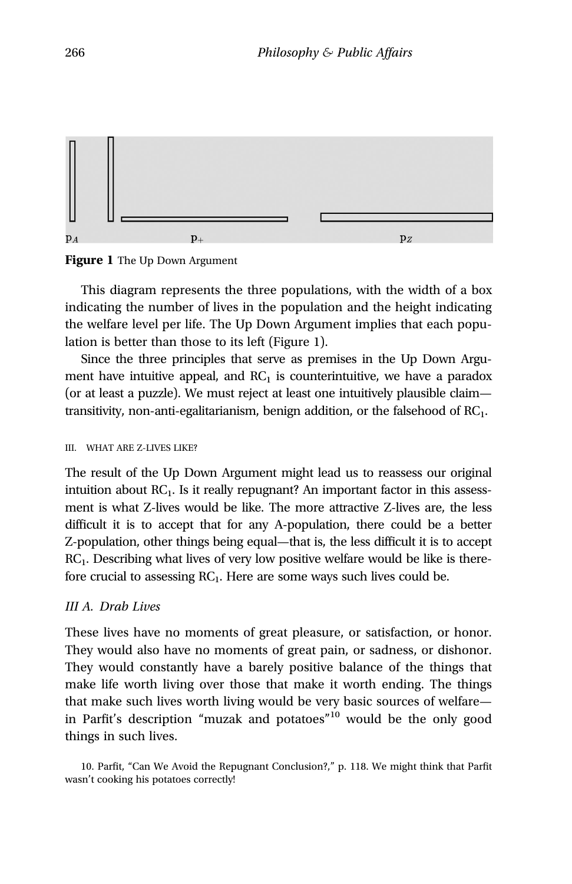

Figure 1 The Up Down Argument

This diagram represents the three populations, with the width of a box indicating the number of lives in the population and the height indicating the welfare level per life. The Up Down Argument implies that each population is better than those to its left (Figure 1).

Since the three principles that serve as premises in the Up Down Argument have intuitive appeal, and  $RC<sub>1</sub>$  is counterintuitive, we have a paradox (or at least a puzzle). We must reject at least one intuitively plausible claim transitivity, non-anti-egalitarianism, benign addition, or the falsehood of  $RC<sub>1</sub>$ .

#### III. WHAT ARE Z-LIVES LIKE?

The result of the Up Down Argument might lead us to reassess our original intuition about  $RC<sub>1</sub>$ . Is it really repugnant? An important factor in this assessment is what Z-lives would be like. The more attractive Z-lives are, the less difficult it is to accept that for any A-population, there could be a better Z-population, other things being equal—that is, the less difficult it is to accept RC<sub>1</sub>. Describing what lives of very low positive welfare would be like is therefore crucial to assessing  $RC<sub>1</sub>$ . Here are some ways such lives could be.

### III A. Drab Lives

These lives have no moments of great pleasure, or satisfaction, or honor. They would also have no moments of great pain, or sadness, or dishonor. They would constantly have a barely positive balance of the things that make life worth living over those that make it worth ending. The things that make such lives worth living would be very basic sources of welfare in Parfit's description "muzak and potatoes"<sup>10</sup> would be the only good things in such lives.

10. Parfit, "Can We Avoid the Repugnant Conclusion?," p. 118. We might think that Parfit wasn't cooking his potatoes correctly!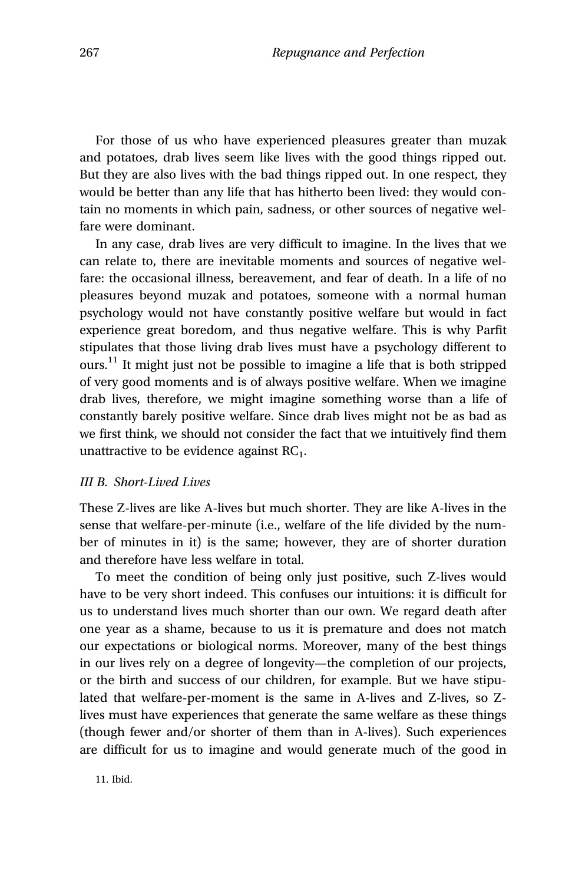For those of us who have experienced pleasures greater than muzak and potatoes, drab lives seem like lives with the good things ripped out. But they are also lives with the bad things ripped out. In one respect, they would be better than any life that has hitherto been lived: they would contain no moments in which pain, sadness, or other sources of negative welfare were dominant.

In any case, drab lives are very difficult to imagine. In the lives that we can relate to, there are inevitable moments and sources of negative welfare: the occasional illness, bereavement, and fear of death. In a life of no pleasures beyond muzak and potatoes, someone with a normal human psychology would not have constantly positive welfare but would in fact experience great boredom, and thus negative welfare. This is why Parfit stipulates that those living drab lives must have a psychology different to ours.<sup>11</sup> It might just not be possible to imagine a life that is both stripped of very good moments and is of always positive welfare. When we imagine drab lives, therefore, we might imagine something worse than a life of constantly barely positive welfare. Since drab lives might not be as bad as we first think, we should not consider the fact that we intuitively find them unattractive to be evidence against  $RC<sub>1</sub>$ .

### III B. Short-Lived Lives

These Z-lives are like A-lives but much shorter. They are like A-lives in the sense that welfare-per-minute (i.e., welfare of the life divided by the number of minutes in it) is the same; however, they are of shorter duration and therefore have less welfare in total.

To meet the condition of being only just positive, such Z-lives would have to be very short indeed. This confuses our intuitions: it is difficult for us to understand lives much shorter than our own. We regard death after one year as a shame, because to us it is premature and does not match our expectations or biological norms. Moreover, many of the best things in our lives rely on a degree of longevity—the completion of our projects, or the birth and success of our children, for example. But we have stipulated that welfare-per-moment is the same in A-lives and Z-lives, so Zlives must have experiences that generate the same welfare as these things (though fewer and/or shorter of them than in A-lives). Such experiences are difficult for us to imagine and would generate much of the good in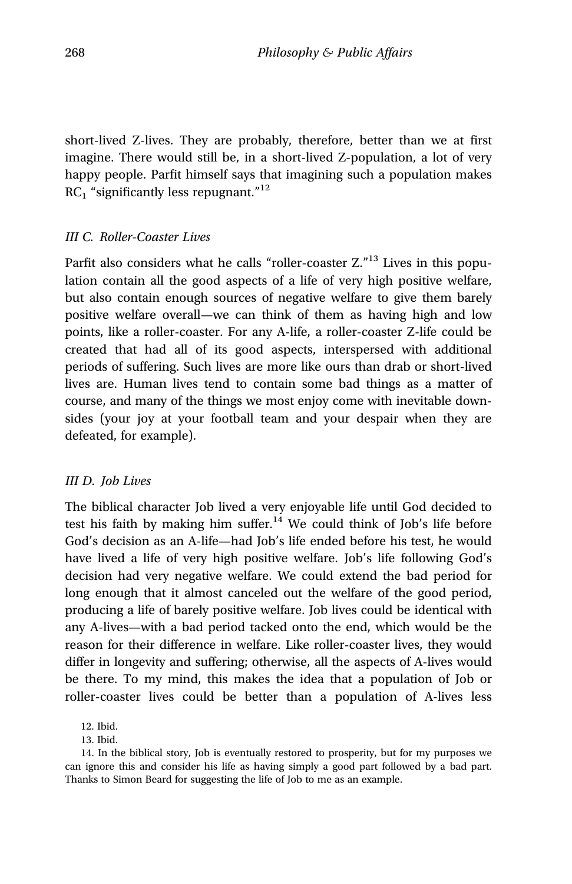short-lived Z-lives. They are probably, therefore, better than we at first imagine. There would still be, in a short-lived Z-population, a lot of very happy people. Parfit himself says that imagining such a population makes  $RC<sub>1</sub>$  "significantly less repugnant."<sup>12</sup>

### III C. Roller-Coaster Lives

Parfit also considers what he calls "roller-coaster Z."<sup>13</sup> Lives in this population contain all the good aspects of a life of very high positive welfare, but also contain enough sources of negative welfare to give them barely positive welfare overall—we can think of them as having high and low points, like a roller-coaster. For any A-life, a roller-coaster Z-life could be created that had all of its good aspects, interspersed with additional periods of suffering. Such lives are more like ours than drab or short-lived lives are. Human lives tend to contain some bad things as a matter of course, and many of the things we most enjoy come with inevitable downsides (your joy at your football team and your despair when they are defeated, for example).

## III D. Job Lives

The biblical character Job lived a very enjoyable life until God decided to test his faith by making him suffer. $14$  We could think of Job's life before God's decision as an A-life—had Job's life ended before his test, he would have lived a life of very high positive welfare. Job's life following God's decision had very negative welfare. We could extend the bad period for long enough that it almost canceled out the welfare of the good period, producing a life of barely positive welfare. Job lives could be identical with any A-lives—with a bad period tacked onto the end, which would be the reason for their difference in welfare. Like roller-coaster lives, they would differ in longevity and suffering; otherwise, all the aspects of A-lives would be there. To my mind, this makes the idea that a population of Job or roller-coaster lives could be better than a population of A-lives less

<sup>12.</sup> Ibid.

<sup>13.</sup> Ibid.

<sup>14.</sup> In the biblical story, Job is eventually restored to prosperity, but for my purposes we can ignore this and consider his life as having simply a good part followed by a bad part. Thanks to Simon Beard for suggesting the life of Job to me as an example.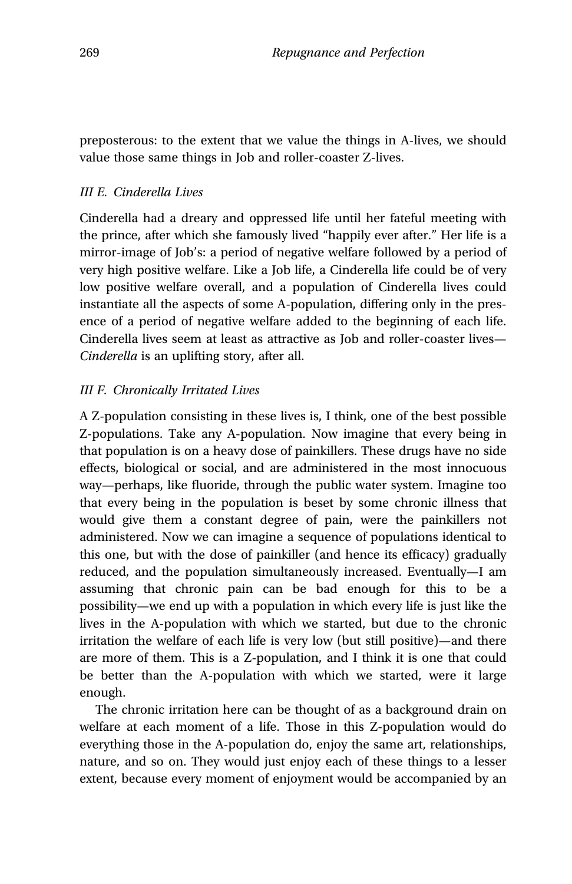preposterous: to the extent that we value the things in A-lives, we should value those same things in Job and roller-coaster Z-lives.

# III E. Cinderella Lives

Cinderella had a dreary and oppressed life until her fateful meeting with the prince, after which she famously lived "happily ever after." Her life is a mirror-image of Job's: a period of negative welfare followed by a period of very high positive welfare. Like a Job life, a Cinderella life could be of very low positive welfare overall, and a population of Cinderella lives could instantiate all the aspects of some A-population, differing only in the presence of a period of negative welfare added to the beginning of each life. Cinderella lives seem at least as attractive as Job and roller-coaster lives— Cinderella is an uplifting story, after all.

## III F. Chronically Irritated Lives

A Z-population consisting in these lives is, I think, one of the best possible Z-populations. Take any A-population. Now imagine that every being in that population is on a heavy dose of painkillers. These drugs have no side effects, biological or social, and are administered in the most innocuous way—perhaps, like fluoride, through the public water system. Imagine too that every being in the population is beset by some chronic illness that would give them a constant degree of pain, were the painkillers not administered. Now we can imagine a sequence of populations identical to this one, but with the dose of painkiller (and hence its efficacy) gradually reduced, and the population simultaneously increased. Eventually—I am assuming that chronic pain can be bad enough for this to be a possibility—we end up with a population in which every life is just like the lives in the A-population with which we started, but due to the chronic irritation the welfare of each life is very low (but still positive)—and there are more of them. This is a Z-population, and I think it is one that could be better than the A-population with which we started, were it large enough.

The chronic irritation here can be thought of as a background drain on welfare at each moment of a life. Those in this Z-population would do everything those in the A-population do, enjoy the same art, relationships, nature, and so on. They would just enjoy each of these things to a lesser extent, because every moment of enjoyment would be accompanied by an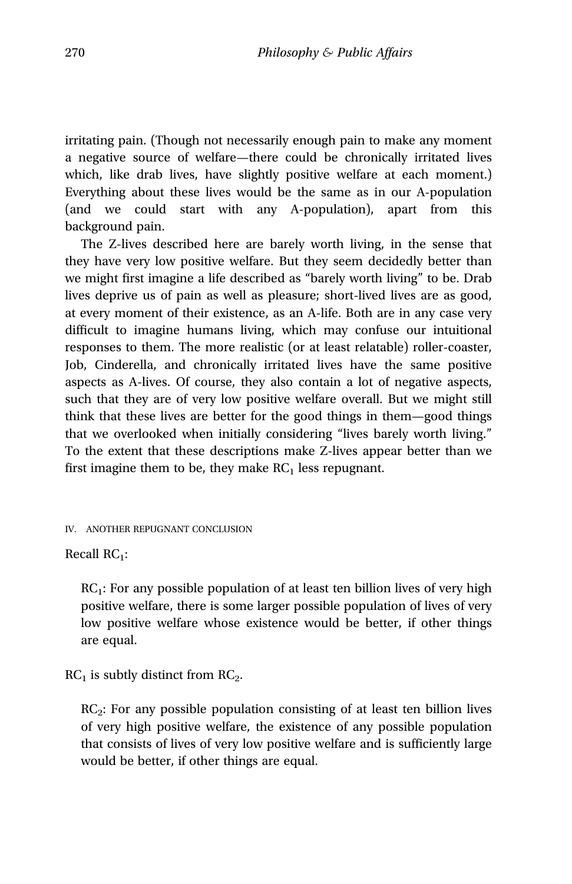irritating pain. (Though not necessarily enough pain to make any moment a negative source of welfare—there could be chronically irritated lives which, like drab lives, have slightly positive welfare at each moment.) Everything about these lives would be the same as in our A-population (and we could start with any A-population), apart from this background pain.

The Z-lives described here are barely worth living, in the sense that they have very low positive welfare. But they seem decidedly better than we might first imagine a life described as "barely worth living" to be. Drab lives deprive us of pain as well as pleasure; short-lived lives are as good, at every moment of their existence, as an A-life. Both are in any case very difficult to imagine humans living, which may confuse our intuitional responses to them. The more realistic (or at least relatable) roller-coaster, Job, Cinderella, and chronically irritated lives have the same positive aspects as A-lives. Of course, they also contain a lot of negative aspects, such that they are of very low positive welfare overall. But we might still think that these lives are better for the good things in them—good things that we overlooked when initially considering "lives barely worth living." To the extent that these descriptions make Z-lives appear better than we first imagine them to be, they make  $RC<sub>1</sub>$  less repugnant.

IV. ANOTHER REPUGNANT CONCLUSION

Recall  $RC<sub>1</sub>$ :

 $RC<sub>1</sub>$ : For any possible population of at least ten billion lives of very high positive welfare, there is some larger possible population of lives of very low positive welfare whose existence would be better, if other things are equal.

 $RC<sub>1</sub>$  is subtly distinct from  $RC<sub>2</sub>$ .

RC<sub>2</sub>: For any possible population consisting of at least ten billion lives of very high positive welfare, the existence of any possible population that consists of lives of very low positive welfare and is sufficiently large would be better, if other things are equal.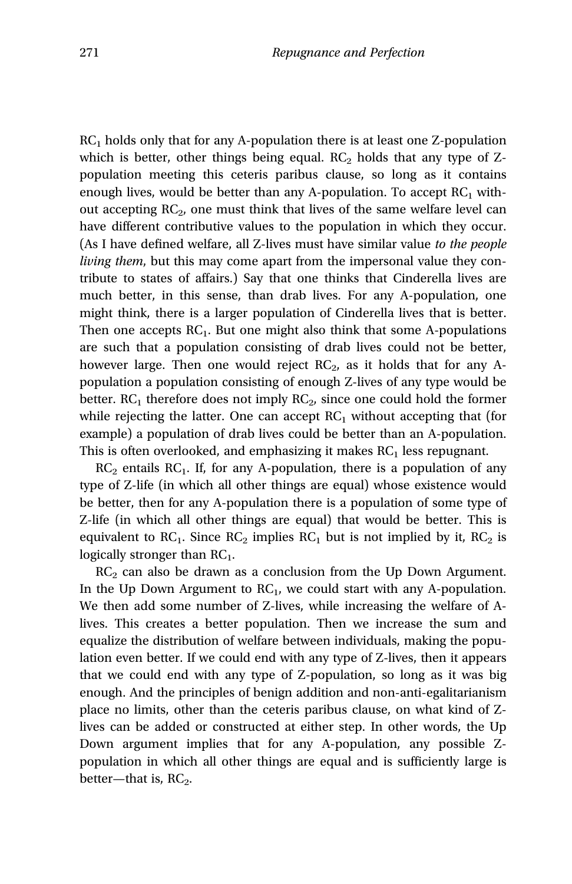$RC<sub>1</sub>$  holds only that for any A-population there is at least one Z-population which is better, other things being equal.  $RC<sub>2</sub>$  holds that any type of Zpopulation meeting this ceteris paribus clause, so long as it contains enough lives, would be better than any A-population. To accept  $RC<sub>1</sub>$  without accepting  $RC<sub>2</sub>$ , one must think that lives of the same welfare level can have different contributive values to the population in which they occur. (As I have defined welfare, all Z-lives must have similar value to the people living them, but this may come apart from the impersonal value they contribute to states of affairs.) Say that one thinks that Cinderella lives are much better, in this sense, than drab lives. For any A-population, one might think, there is a larger population of Cinderella lives that is better. Then one accepts  $RC<sub>1</sub>$ . But one might also think that some A-populations are such that a population consisting of drab lives could not be better, however large. Then one would reject  $RC<sub>2</sub>$ , as it holds that for any Apopulation a population consisting of enough Z-lives of any type would be better.  $RC<sub>1</sub>$  therefore does not imply  $RC<sub>2</sub>$ , since one could hold the former while rejecting the latter. One can accept  $RC<sub>1</sub>$  without accepting that (for example) a population of drab lives could be better than an A-population. This is often overlooked, and emphasizing it makes  $RC<sub>1</sub>$  less repugnant.

 $RC<sub>2</sub>$  entails  $RC<sub>1</sub>$ . If, for any A-population, there is a population of any type of Z-life (in which all other things are equal) whose existence would be better, then for any A-population there is a population of some type of Z-life (in which all other things are equal) that would be better. This is equivalent to  $RC_1$ . Since  $RC_2$  implies  $RC_1$  but is not implied by it,  $RC_2$  is logically stronger than  $RC<sub>1</sub>$ .

 $RC<sub>2</sub>$  can also be drawn as a conclusion from the Up Down Argument. In the Up Down Argument to  $RC<sub>1</sub>$ , we could start with any A-population. We then add some number of Z-lives, while increasing the welfare of Alives. This creates a better population. Then we increase the sum and equalize the distribution of welfare between individuals, making the population even better. If we could end with any type of Z-lives, then it appears that we could end with any type of Z-population, so long as it was big enough. And the principles of benign addition and non-anti-egalitarianism place no limits, other than the ceteris paribus clause, on what kind of Zlives can be added or constructed at either step. In other words, the Up Down argument implies that for any A-population, any possible Zpopulation in which all other things are equal and is sufficiently large is better—that is,  $RC<sub>2</sub>$ .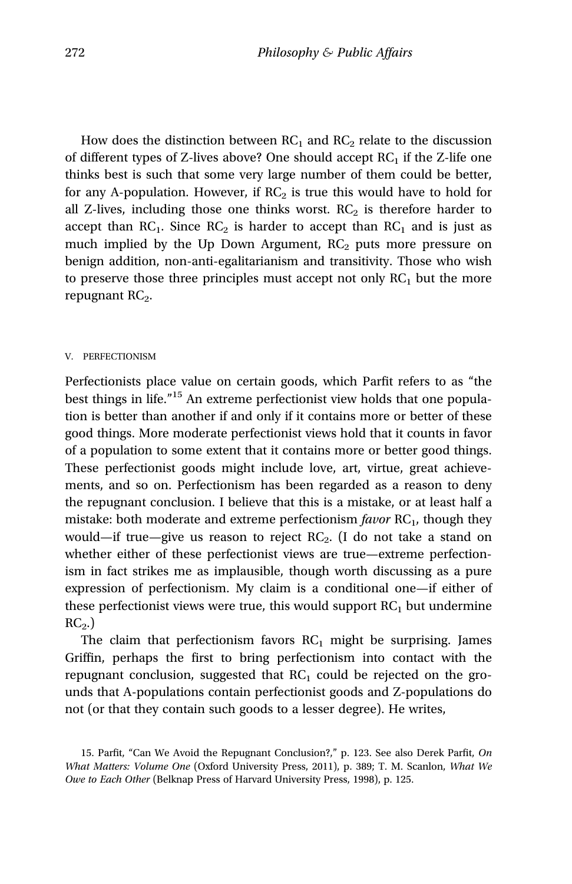How does the distinction between  $RC_1$  and  $RC_2$  relate to the discussion of different types of Z-lives above? One should accept  $RC<sub>1</sub>$  if the Z-life one thinks best is such that some very large number of them could be better, for any A-population. However, if  $RC<sub>2</sub>$  is true this would have to hold for all Z-lives, including those one thinks worst.  $RC<sub>2</sub>$  is therefore harder to accept than  $RC_1$ . Since  $RC_2$  is harder to accept than  $RC_1$  and is just as much implied by the Up Down Argument,  $RC<sub>2</sub>$  puts more pressure on benign addition, non-anti-egalitarianism and transitivity. Those who wish to preserve those three principles must accept not only  $RC<sub>1</sub>$  but the more repugnant  $RC<sub>2</sub>$ .

#### V. PERFECTIONISM

Perfectionists place value on certain goods, which Parfit refers to as "the best things in life." <sup>15</sup> An extreme perfectionist view holds that one population is better than another if and only if it contains more or better of these good things. More moderate perfectionist views hold that it counts in favor of a population to some extent that it contains more or better good things. These perfectionist goods might include love, art, virtue, great achievements, and so on. Perfectionism has been regarded as a reason to deny the repugnant conclusion. I believe that this is a mistake, or at least half a mistake: both moderate and extreme perfectionism  $favor RC_1$ , though they would—if true—give us reason to reject  $RC<sub>2</sub>$ . (I do not take a stand on whether either of these perfectionist views are true—extreme perfectionism in fact strikes me as implausible, though worth discussing as a pure expression of perfectionism. My claim is a conditional one—if either of these perfectionist views were true, this would support  $RC<sub>1</sub>$  but undermine  $RC<sub>2</sub>$ .)

The claim that perfectionism favors  $RC<sub>1</sub>$  might be surprising. James Griffin, perhaps the first to bring perfectionism into contact with the repugnant conclusion, suggested that  $RC<sub>1</sub>$  could be rejected on the grounds that A-populations contain perfectionist goods and Z-populations do not (or that they contain such goods to a lesser degree). He writes,

<sup>15.</sup> Parfit, "Can We Avoid the Repugnant Conclusion?," p. 123. See also Derek Parfit, On What Matters: Volume One (Oxford University Press, 2011), p. 389; T. M. Scanlon, What We Owe to Each Other (Belknap Press of Harvard University Press, 1998), p. 125.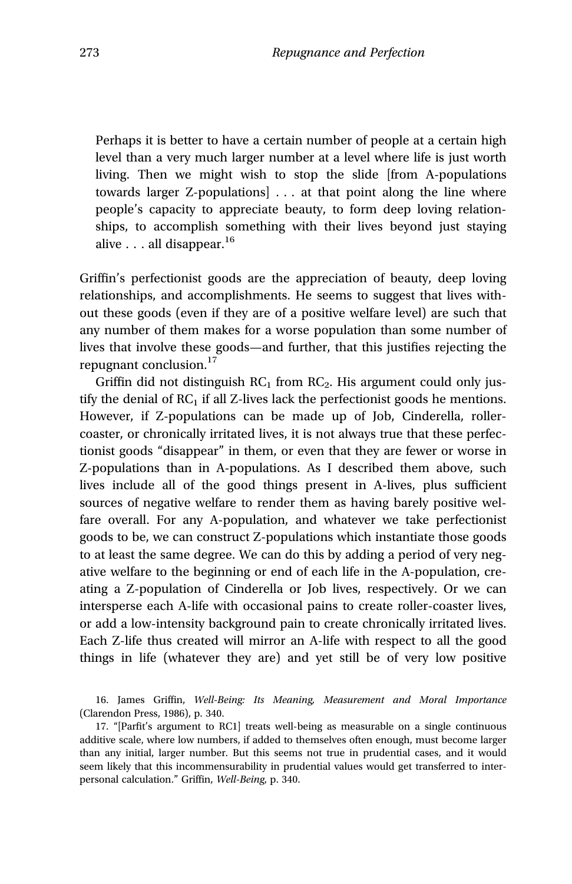Perhaps it is better to have a certain number of people at a certain high level than a very much larger number at a level where life is just worth living. Then we might wish to stop the slide [from A-populations towards larger Z-populations] . . . at that point along the line where people's capacity to appreciate beauty, to form deep loving relationships, to accomplish something with their lives beyond just staying alive  $\ldots$  all disappear.<sup>16</sup>

Griffin's perfectionist goods are the appreciation of beauty, deep loving relationships, and accomplishments. He seems to suggest that lives without these goods (even if they are of a positive welfare level) are such that any number of them makes for a worse population than some number of lives that involve these goods—and further, that this justifies rejecting the repugnant conclusion.<sup>17</sup>

Griffin did not distinguish  $RC<sub>1</sub>$  from  $RC<sub>2</sub>$ . His argument could only justify the denial of  $RC<sub>1</sub>$  if all Z-lives lack the perfectionist goods he mentions. However, if Z-populations can be made up of Job, Cinderella, rollercoaster, or chronically irritated lives, it is not always true that these perfectionist goods "disappear" in them, or even that they are fewer or worse in Z-populations than in A-populations. As I described them above, such lives include all of the good things present in A-lives, plus sufficient sources of negative welfare to render them as having barely positive welfare overall. For any A-population, and whatever we take perfectionist goods to be, we can construct Z-populations which instantiate those goods to at least the same degree. We can do this by adding a period of very negative welfare to the beginning or end of each life in the A-population, creating a Z-population of Cinderella or Job lives, respectively. Or we can intersperse each A-life with occasional pains to create roller-coaster lives, or add a low-intensity background pain to create chronically irritated lives. Each Z-life thus created will mirror an A-life with respect to all the good things in life (whatever they are) and yet still be of very low positive

16. James Griffin, Well-Being: Its Meaning, Measurement and Moral Importance (Clarendon Press, 1986), p. 340.

17. "[Parfit's argument to RC1] treats well-being as measurable on a single continuous additive scale, where low numbers, if added to themselves often enough, must become larger than any initial, larger number. But this seems not true in prudential cases, and it would seem likely that this incommensurability in prudential values would get transferred to interpersonal calculation." Griffin, Well-Being, p. 340.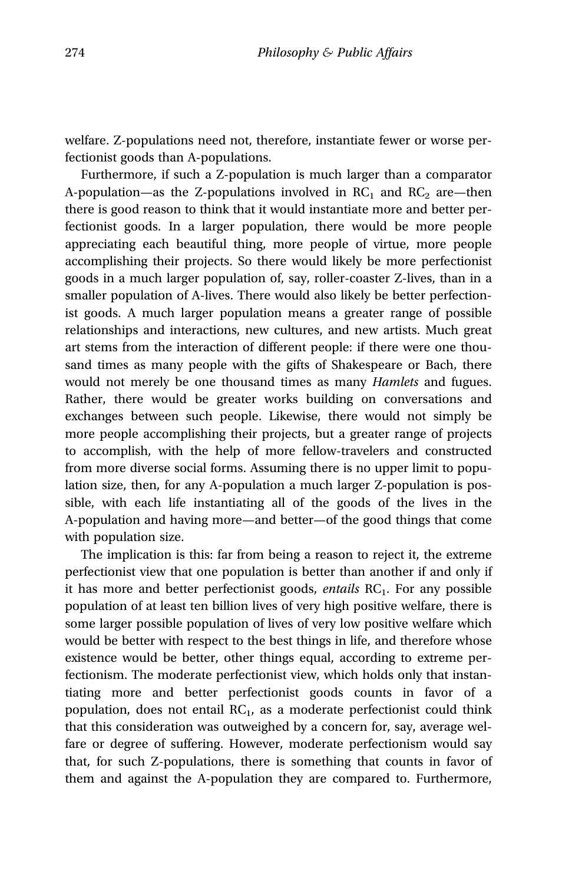welfare. Z-populations need not, therefore, instantiate fewer or worse perfectionist goods than A-populations.

Furthermore, if such a Z-population is much larger than a comparator A-population—as the Z-populations involved in  $RC<sub>1</sub>$  and  $RC<sub>2</sub>$  are—then there is good reason to think that it would instantiate more and better perfectionist goods. In a larger population, there would be more people appreciating each beautiful thing, more people of virtue, more people accomplishing their projects. So there would likely be more perfectionist goods in a much larger population of, say, roller-coaster Z-lives, than in a smaller population of A-lives. There would also likely be better perfectionist goods. A much larger population means a greater range of possible relationships and interactions, new cultures, and new artists. Much great art stems from the interaction of different people: if there were one thousand times as many people with the gifts of Shakespeare or Bach, there would not merely be one thousand times as many Hamlets and fugues. Rather, there would be greater works building on conversations and exchanges between such people. Likewise, there would not simply be more people accomplishing their projects, but a greater range of projects to accomplish, with the help of more fellow-travelers and constructed from more diverse social forms. Assuming there is no upper limit to population size, then, for any A-population a much larger Z-population is possible, with each life instantiating all of the goods of the lives in the A-population and having more—and better—of the good things that come with population size.

The implication is this: far from being a reason to reject it, the extreme perfectionist view that one population is better than another if and only if it has more and better perfectionist goods, *entails*  $RC<sub>1</sub>$ . For any possible population of at least ten billion lives of very high positive welfare, there is some larger possible population of lives of very low positive welfare which would be better with respect to the best things in life, and therefore whose existence would be better, other things equal, according to extreme perfectionism. The moderate perfectionist view, which holds only that instantiating more and better perfectionist goods counts in favor of a population, does not entail  $RC<sub>1</sub>$ , as a moderate perfectionist could think that this consideration was outweighed by a concern for, say, average welfare or degree of suffering. However, moderate perfectionism would say that, for such Z-populations, there is something that counts in favor of them and against the A-population they are compared to. Furthermore,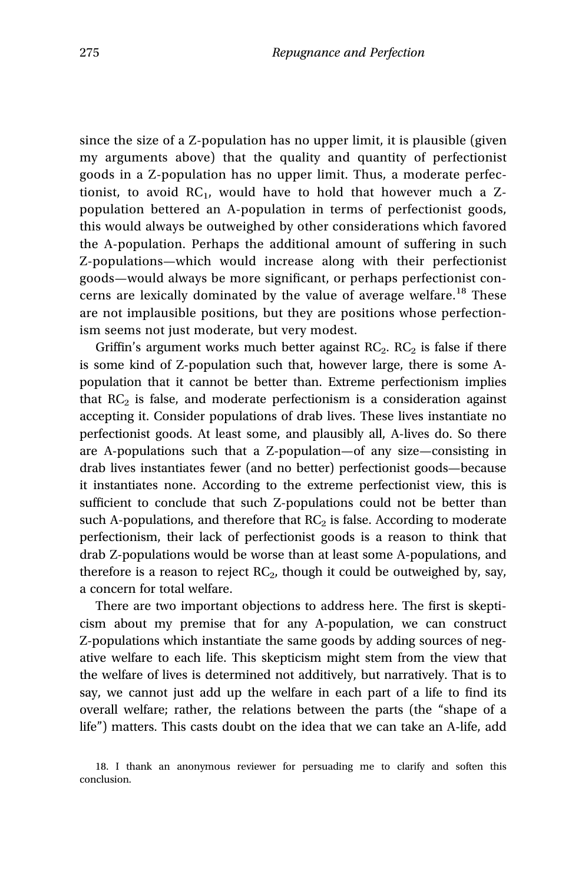since the size of a Z-population has no upper limit, it is plausible (given my arguments above) that the quality and quantity of perfectionist goods in a Z-population has no upper limit. Thus, a moderate perfectionist, to avoid  $RC<sub>1</sub>$ , would have to hold that however much a Zpopulation bettered an A-population in terms of perfectionist goods, this would always be outweighed by other considerations which favored the A-population. Perhaps the additional amount of suffering in such Z-populations—which would increase along with their perfectionist goods—would always be more significant, or perhaps perfectionist concerns are lexically dominated by the value of average welfare.<sup>18</sup> These are not implausible positions, but they are positions whose perfectionism seems not just moderate, but very modest.

Griffin's argument works much better against  $RC<sub>2</sub>$ .  $RC<sub>2</sub>$  is false if there is some kind of Z-population such that, however large, there is some Apopulation that it cannot be better than. Extreme perfectionism implies that  $RC<sub>2</sub>$  is false, and moderate perfectionism is a consideration against accepting it. Consider populations of drab lives. These lives instantiate no perfectionist goods. At least some, and plausibly all, A-lives do. So there are A-populations such that a Z-population—of any size—consisting in drab lives instantiates fewer (and no better) perfectionist goods—because it instantiates none. According to the extreme perfectionist view, this is sufficient to conclude that such Z-populations could not be better than such A-populations, and therefore that  $RC<sub>2</sub>$  is false. According to moderate perfectionism, their lack of perfectionist goods is a reason to think that drab Z-populations would be worse than at least some A-populations, and therefore is a reason to reject  $RC<sub>2</sub>$ , though it could be outweighed by, say, a concern for total welfare.

There are two important objections to address here. The first is skepticism about my premise that for any A-population, we can construct Z-populations which instantiate the same goods by adding sources of negative welfare to each life. This skepticism might stem from the view that the welfare of lives is determined not additively, but narratively. That is to say, we cannot just add up the welfare in each part of a life to find its overall welfare; rather, the relations between the parts (the "shape of a life") matters. This casts doubt on the idea that we can take an A-life, add

<sup>18.</sup> I thank an anonymous reviewer for persuading me to clarify and soften this conclusion.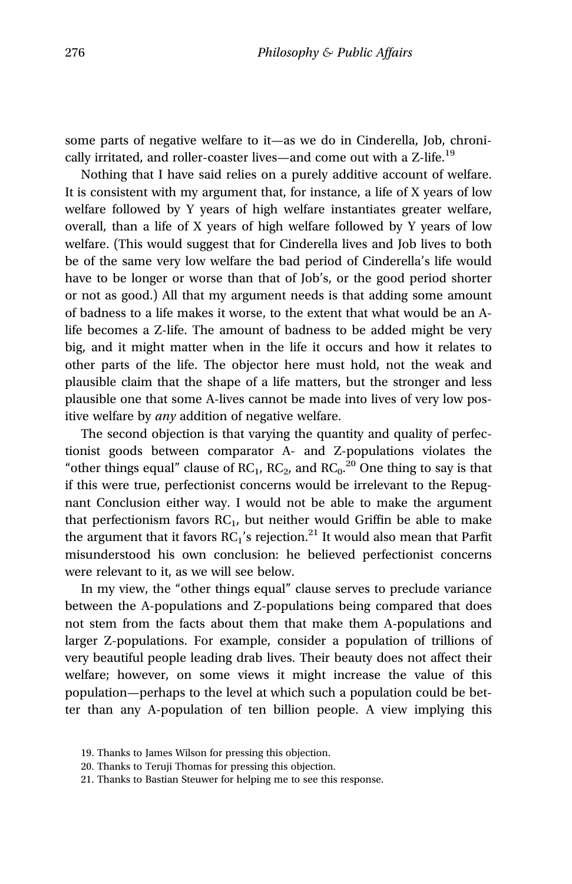some parts of negative welfare to it—as we do in Cinderella, Job, chronically irritated, and roller-coaster lives—and come out with a Z-life.<sup>19</sup>

Nothing that I have said relies on a purely additive account of welfare. It is consistent with my argument that, for instance, a life of X years of low welfare followed by Y years of high welfare instantiates greater welfare, overall, than a life of X years of high welfare followed by Y years of low welfare. (This would suggest that for Cinderella lives and Job lives to both be of the same very low welfare the bad period of Cinderella's life would have to be longer or worse than that of Job's, or the good period shorter or not as good.) All that my argument needs is that adding some amount of badness to a life makes it worse, to the extent that what would be an Alife becomes a Z-life. The amount of badness to be added might be very big, and it might matter when in the life it occurs and how it relates to other parts of the life. The objector here must hold, not the weak and plausible claim that the shape of a life matters, but the stronger and less plausible one that some A-lives cannot be made into lives of very low positive welfare by *any* addition of negative welfare.

The second objection is that varying the quantity and quality of perfectionist goods between comparator A- and Z-populations violates the "other things equal" clause of  $RC_1$ ,  $RC_2$ , and  $RC_0$ .<sup>20</sup> One thing to say is that if this were true, perfectionist concerns would be irrelevant to the Repugnant Conclusion either way. I would not be able to make the argument that perfectionism favors  $RC<sub>1</sub>$ , but neither would Griffin be able to make the argument that it favors  $RC<sub>1</sub>'s$  rejection.<sup>21</sup> It would also mean that Parfit misunderstood his own conclusion: he believed perfectionist concerns were relevant to it, as we will see below.

In my view, the "other things equal" clause serves to preclude variance between the A-populations and Z-populations being compared that does not stem from the facts about them that make them A-populations and larger Z-populations. For example, consider a population of trillions of very beautiful people leading drab lives. Their beauty does not affect their welfare; however, on some views it might increase the value of this population—perhaps to the level at which such a population could be better than any A-population of ten billion people. A view implying this

<sup>19.</sup> Thanks to James Wilson for pressing this objection.

<sup>20.</sup> Thanks to Teruji Thomas for pressing this objection.

<sup>21.</sup> Thanks to Bastian Steuwer for helping me to see this response.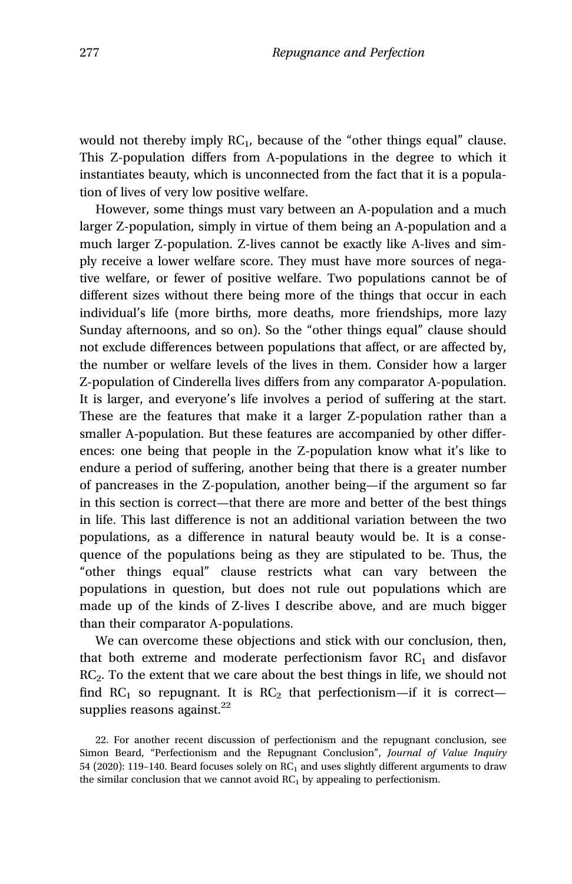would not thereby imply  $RC<sub>1</sub>$ , because of the "other things equal" clause. This Z-population differs from A-populations in the degree to which it instantiates beauty, which is unconnected from the fact that it is a population of lives of very low positive welfare.

However, some things must vary between an A-population and a much larger Z-population, simply in virtue of them being an A-population and a much larger Z-population. Z-lives cannot be exactly like A-lives and simply receive a lower welfare score. They must have more sources of negative welfare, or fewer of positive welfare. Two populations cannot be of different sizes without there being more of the things that occur in each individual's life (more births, more deaths, more friendships, more lazy Sunday afternoons, and so on). So the "other things equal" clause should not exclude differences between populations that affect, or are affected by, the number or welfare levels of the lives in them. Consider how a larger Z-population of Cinderella lives differs from any comparator A-population. It is larger, and everyone's life involves a period of suffering at the start. These are the features that make it a larger Z-population rather than a smaller A-population. But these features are accompanied by other differences: one being that people in the Z-population know what it's like to endure a period of suffering, another being that there is a greater number of pancreases in the Z-population, another being—if the argument so far in this section is correct—that there are more and better of the best things in life. This last difference is not an additional variation between the two populations, as a difference in natural beauty would be. It is a consequence of the populations being as they are stipulated to be. Thus, the "other things equal" clause restricts what can vary between the populations in question, but does not rule out populations which are made up of the kinds of Z-lives I describe above, and are much bigger than their comparator A-populations.

We can overcome these objections and stick with our conclusion, then, that both extreme and moderate perfectionism favor  $RC<sub>1</sub>$  and disfavor RC<sub>2</sub>. To the extent that we care about the best things in life, we should not find  $RC<sub>1</sub>$  so repugnant. It is  $RC<sub>2</sub>$  that perfectionism—if it is correct supplies reasons against. $^{22}$ 

<sup>22.</sup> For another recent discussion of perfectionism and the repugnant conclusion, see Simon Beard, "Perfectionism and the Repugnant Conclusion", Journal of Value Inquiry 54 (2020): 119-140. Beard focuses solely on  $RC<sub>1</sub>$  and uses slightly different arguments to draw the similar conclusion that we cannot avoid  $RC<sub>1</sub>$  by appealing to perfectionism.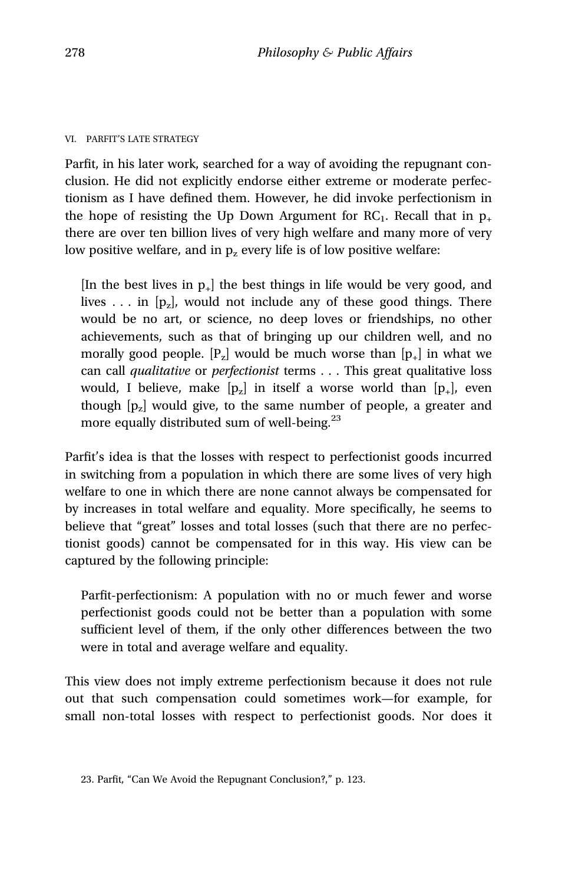#### VI. PARFIT'S LATE STRATEGY

Parfit, in his later work, searched for a way of avoiding the repugnant conclusion. He did not explicitly endorse either extreme or moderate perfectionism as I have defined them. However, he did invoke perfectionism in the hope of resisting the Up Down Argument for RC<sub>1</sub>. Recall that in  $p_{+}$ there are over ten billion lives of very high welfare and many more of very low positive welfare, and in  $p<sub>z</sub>$  every life is of low positive welfare:

[In the best lives in  $p_{+}$ ] the best things in life would be very good, and lives ... in  $[p_z]$ , would not include any of these good things. There would be no art, or science, no deep loves or friendships, no other achievements, such as that of bringing up our children well, and no morally good people.  $[P_z]$  would be much worse than  $[p_+]$  in what we can call qualitative or perfectionist terms . . . This great qualitative loss would, I believe, make  $[p_z]$  in itself a worse world than  $[p_+]$ , even though  $[p<sub>z</sub>]$  would give, to the same number of people, a greater and more equally distributed sum of well-being.<sup>23</sup>

Parfit's idea is that the losses with respect to perfectionist goods incurred in switching from a population in which there are some lives of very high welfare to one in which there are none cannot always be compensated for by increases in total welfare and equality. More specifically, he seems to believe that "great" losses and total losses (such that there are no perfectionist goods) cannot be compensated for in this way. His view can be captured by the following principle:

Parfit-perfectionism: A population with no or much fewer and worse perfectionist goods could not be better than a population with some sufficient level of them, if the only other differences between the two were in total and average welfare and equality.

This view does not imply extreme perfectionism because it does not rule out that such compensation could sometimes work—for example, for small non-total losses with respect to perfectionist goods. Nor does it

<sup>23.</sup> Parfit, "Can We Avoid the Repugnant Conclusion?," p. 123.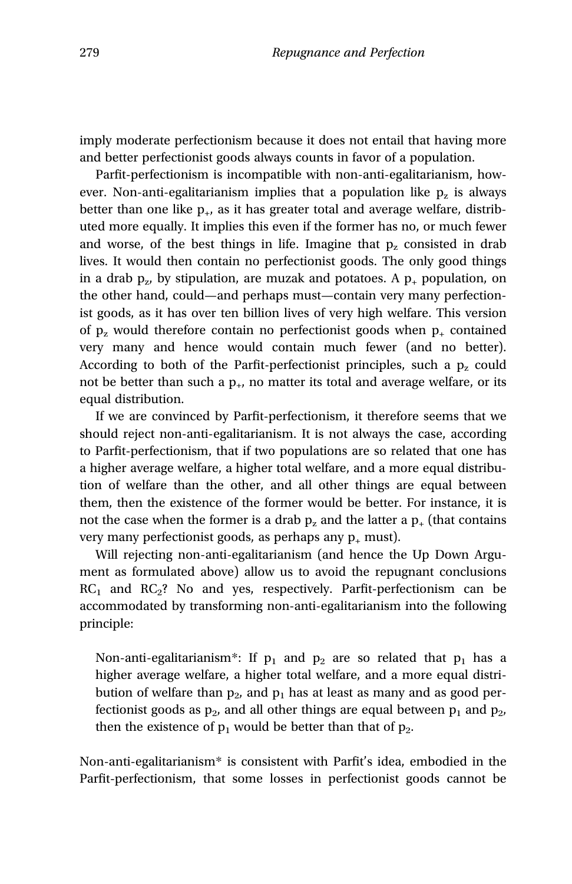imply moderate perfectionism because it does not entail that having more and better perfectionist goods always counts in favor of a population.

Parfit-perfectionism is incompatible with non-anti-egalitarianism, however. Non-anti-egalitarianism implies that a population like  $p_z$  is always better than one like  $p_{+}$ , as it has greater total and average welfare, distributed more equally. It implies this even if the former has no, or much fewer and worse, of the best things in life. Imagine that  $p<sub>z</sub>$  consisted in drab lives. It would then contain no perfectionist goods. The only good things in a drab  $p_{\nu}$  by stipulation, are muzak and potatoes. A  $p_{+}$  population, on the other hand, could—and perhaps must—contain very many perfectionist goods, as it has over ten billion lives of very high welfare. This version of  $p_z$  would therefore contain no perfectionist goods when  $p_+$  contained very many and hence would contain much fewer (and no better). According to both of the Parfit-perfectionist principles, such a  $p<sub>z</sub>$  could not be better than such a  $p_{+}$ , no matter its total and average welfare, or its equal distribution.

If we are convinced by Parfit-perfectionism, it therefore seems that we should reject non-anti-egalitarianism. It is not always the case, according to Parfit-perfectionism, that if two populations are so related that one has a higher average welfare, a higher total welfare, and a more equal distribution of welfare than the other, and all other things are equal between them, then the existence of the former would be better. For instance, it is not the case when the former is a drab  $p_z$  and the latter a  $p_+$  (that contains very many perfectionist goods, as perhaps any  $p_+$  must).

Will rejecting non-anti-egalitarianism (and hence the Up Down Argument as formulated above) allow us to avoid the repugnant conclusions  $RC<sub>1</sub>$  and  $RC<sub>2</sub>$ ? No and yes, respectively. Parfit-perfectionism can be accommodated by transforming non-anti-egalitarianism into the following principle:

Non-anti-egalitarianism\*: If  $p_1$  and  $p_2$  are so related that  $p_1$  has a higher average welfare, a higher total welfare, and a more equal distribution of welfare than  $p_2$ , and  $p_1$  has at least as many and as good perfectionist goods as  $p_2$ , and all other things are equal between  $p_1$  and  $p_2$ , then the existence of  $p_1$  would be better than that of  $p_2$ .

Non-anti-egalitarianism\* is consistent with Parfit's idea, embodied in the Parfit-perfectionism, that some losses in perfectionist goods cannot be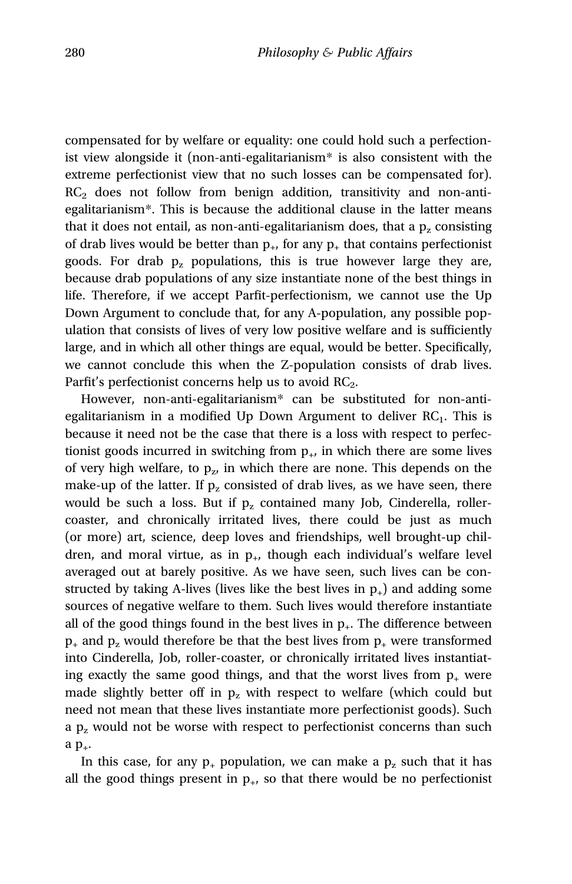compensated for by welfare or equality: one could hold such a perfectionist view alongside it (non-anti-egalitarianism\* is also consistent with the extreme perfectionist view that no such losses can be compensated for).  $RC<sub>2</sub>$  does not follow from benign addition, transitivity and non-antiegalitarianism\*. This is because the additional clause in the latter means that it does not entail, as non-anti-egalitarianism does, that a  $p<sub>z</sub>$  consisting of drab lives would be better than  $p_{+}$ , for any  $p_{+}$  that contains perfectionist goods. For drab  $p<sub>z</sub>$  populations, this is true however large they are, because drab populations of any size instantiate none of the best things in life. Therefore, if we accept Parfit-perfectionism, we cannot use the Up Down Argument to conclude that, for any A-population, any possible population that consists of lives of very low positive welfare and is sufficiently large, and in which all other things are equal, would be better. Specifically, we cannot conclude this when the Z-population consists of drab lives. Parfit's perfectionist concerns help us to avoid  $RC<sub>2</sub>$ .

However, non-anti-egalitarianism\* can be substituted for non-antiegalitarianism in a modified Up Down Argument to deliver  $RC<sub>1</sub>$ . This is because it need not be the case that there is a loss with respect to perfectionist goods incurred in switching from  $p_{+}$ , in which there are some lives of very high welfare, to  $p_{z}$ , in which there are none. This depends on the make-up of the latter. If  $p_z$  consisted of drab lives, as we have seen, there would be such a loss. But if  $p_z$  contained many Job, Cinderella, rollercoaster, and chronically irritated lives, there could be just as much (or more) art, science, deep loves and friendships, well brought-up children, and moral virtue, as in  $p_{+}$ , though each individual's welfare level averaged out at barely positive. As we have seen, such lives can be constructed by taking A-lives (lives like the best lives in  $p_{+}$ ) and adding some sources of negative welfare to them. Such lives would therefore instantiate all of the good things found in the best lives in  $p_{+}$ . The difference between  $p_{+}$  and  $p_{z}$  would therefore be that the best lives from  $p_{+}$  were transformed into Cinderella, Job, roller-coaster, or chronically irritated lives instantiating exactly the same good things, and that the worst lives from  $p_{+}$  were made slightly better off in  $p<sub>z</sub>$  with respect to welfare (which could but need not mean that these lives instantiate more perfectionist goods). Such a  $p_z$  would not be worse with respect to perfectionist concerns than such a  $p_{+}$ .

In this case, for any  $p_{+}$  population, we can make a  $p_{z}$  such that it has all the good things present in  $p_{+}$ , so that there would be no perfectionist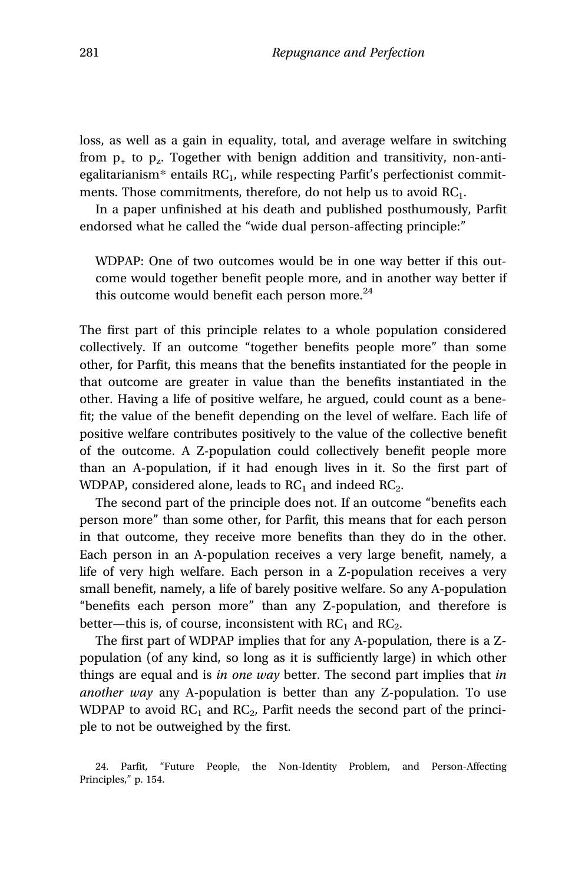loss, as well as a gain in equality, total, and average welfare in switching from  $p_+$  to  $p_z$ . Together with benign addition and transitivity, non-antiegalitarianism\* entails  $RC<sub>1</sub>$ , while respecting Parfit's perfectionist commitments. Those commitments, therefore, do not help us to avoid  $RC<sub>1</sub>$ .

In a paper unfinished at his death and published posthumously, Parfit endorsed what he called the "wide dual person-affecting principle:"

WDPAP: One of two outcomes would be in one way better if this outcome would together benefit people more, and in another way better if this outcome would benefit each person more.<sup>24</sup>

The first part of this principle relates to a whole population considered collectively. If an outcome "together benefits people more" than some other, for Parfit, this means that the benefits instantiated for the people in that outcome are greater in value than the benefits instantiated in the other. Having a life of positive welfare, he argued, could count as a benefit; the value of the benefit depending on the level of welfare. Each life of positive welfare contributes positively to the value of the collective benefit of the outcome. A Z-population could collectively benefit people more than an A-population, if it had enough lives in it. So the first part of WDPAP, considered alone, leads to  $RC<sub>1</sub>$  and indeed  $RC<sub>2</sub>$ .

The second part of the principle does not. If an outcome "benefits each person more" than some other, for Parfit, this means that for each person in that outcome, they receive more benefits than they do in the other. Each person in an A-population receives a very large benefit, namely, a life of very high welfare. Each person in a Z-population receives a very small benefit, namely, a life of barely positive welfare. So any A-population "benefits each person more" than any Z-population, and therefore is better—this is, of course, inconsistent with  $RC_1$  and  $RC_2$ .

The first part of WDPAP implies that for any A-population, there is a Zpopulation (of any kind, so long as it is sufficiently large) in which other things are equal and is *in one way* better. The second part implies that *in* another way any A-population is better than any Z-population. To use WDPAP to avoid  $RC_1$  and  $RC_2$ , Parfit needs the second part of the principle to not be outweighed by the first.

24. Parfit, "Future People, the Non-Identity Problem, and Person-Affecting Principles," p. 154.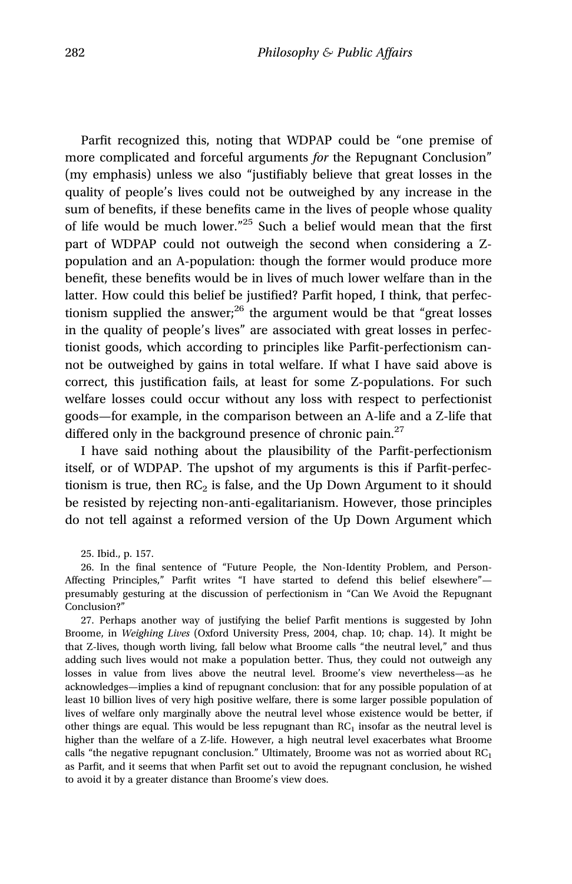Parfit recognized this, noting that WDPAP could be "one premise of more complicated and forceful arguments for the Repugnant Conclusion" (my emphasis) unless we also "justifiably believe that great losses in the quality of people's lives could not be outweighed by any increase in the sum of benefits, if these benefits came in the lives of people whose quality of life would be much lower." <sup>25</sup> Such a belief would mean that the first part of WDPAP could not outweigh the second when considering a Zpopulation and an A-population: though the former would produce more benefit, these benefits would be in lives of much lower welfare than in the latter. How could this belief be justified? Parfit hoped, I think, that perfectionism supplied the answer;<sup>26</sup> the argument would be that "great losses" in the quality of people's lives" are associated with great losses in perfectionist goods, which according to principles like Parfit-perfectionism cannot be outweighed by gains in total welfare. If what I have said above is correct, this justification fails, at least for some Z-populations. For such welfare losses could occur without any loss with respect to perfectionist goods—for example, in the comparison between an A-life and a Z-life that differed only in the background presence of chronic pain.<sup>27</sup>

I have said nothing about the plausibility of the Parfit-perfectionism itself, or of WDPAP. The upshot of my arguments is this if Parfit-perfectionism is true, then  $RC<sub>2</sub>$  is false, and the Up Down Argument to it should be resisted by rejecting non-anti-egalitarianism. However, those principles do not tell against a reformed version of the Up Down Argument which

27. Perhaps another way of justifying the belief Parfit mentions is suggested by John Broome, in Weighing Lives (Oxford University Press, 2004, chap. 10; chap. 14). It might be that Z-lives, though worth living, fall below what Broome calls "the neutral level," and thus adding such lives would not make a population better. Thus, they could not outweigh any losses in value from lives above the neutral level. Broome's view nevertheless—as he acknowledges—implies a kind of repugnant conclusion: that for any possible population of at least 10 billion lives of very high positive welfare, there is some larger possible population of lives of welfare only marginally above the neutral level whose existence would be better, if other things are equal. This would be less repugnant than  $RC<sub>1</sub>$  insofar as the neutral level is higher than the welfare of a Z-life. However, a high neutral level exacerbates what Broome calls "the negative repugnant conclusion." Ultimately, Broome was not as worried about  $RC<sub>1</sub>$ as Parfit, and it seems that when Parfit set out to avoid the repugnant conclusion, he wished to avoid it by a greater distance than Broome's view does.

<sup>25.</sup> Ibid., p. 157.

<sup>26.</sup> In the final sentence of "Future People, the Non-Identity Problem, and Person-Affecting Principles," Parfit writes "I have started to defend this belief elsewhere" presumably gesturing at the discussion of perfectionism in "Can We Avoid the Repugnant Conclusion?"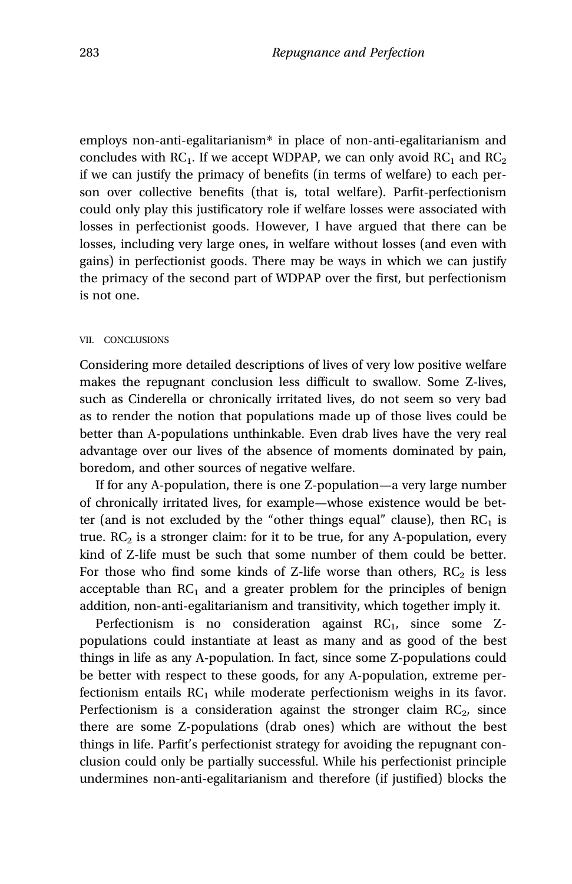employs non-anti-egalitarianism\* in place of non-anti-egalitarianism and concludes with  $RC_1$ . If we accept WDPAP, we can only avoid  $RC_1$  and  $RC_2$ if we can justify the primacy of benefits (in terms of welfare) to each person over collective benefits (that is, total welfare). Parfit-perfectionism could only play this justificatory role if welfare losses were associated with losses in perfectionist goods. However, I have argued that there can be losses, including very large ones, in welfare without losses (and even with gains) in perfectionist goods. There may be ways in which we can justify the primacy of the second part of WDPAP over the first, but perfectionism is not one.

#### VII. CONCLUSIONS

Considering more detailed descriptions of lives of very low positive welfare makes the repugnant conclusion less difficult to swallow. Some Z-lives, such as Cinderella or chronically irritated lives, do not seem so very bad as to render the notion that populations made up of those lives could be better than A-populations unthinkable. Even drab lives have the very real advantage over our lives of the absence of moments dominated by pain, boredom, and other sources of negative welfare.

If for any A-population, there is one Z-population—a very large number of chronically irritated lives, for example—whose existence would be better (and is not excluded by the "other things equal" clause), then  $RC<sub>1</sub>$  is true.  $RC<sub>2</sub>$  is a stronger claim: for it to be true, for any A-population, every kind of Z-life must be such that some number of them could be better. For those who find some kinds of Z-life worse than others,  $RC<sub>2</sub>$  is less acceptable than  $RC<sub>1</sub>$  and a greater problem for the principles of benign addition, non-anti-egalitarianism and transitivity, which together imply it.

Perfectionism is no consideration against  $RC<sub>1</sub>$ , since some Zpopulations could instantiate at least as many and as good of the best things in life as any A-population. In fact, since some Z-populations could be better with respect to these goods, for any A-population, extreme perfectionism entails  $RC<sub>1</sub>$  while moderate perfectionism weighs in its favor. Perfectionism is a consideration against the stronger claim  $RC<sub>2</sub>$ , since there are some Z-populations (drab ones) which are without the best things in life. Parfit's perfectionist strategy for avoiding the repugnant conclusion could only be partially successful. While his perfectionist principle undermines non-anti-egalitarianism and therefore (if justified) blocks the